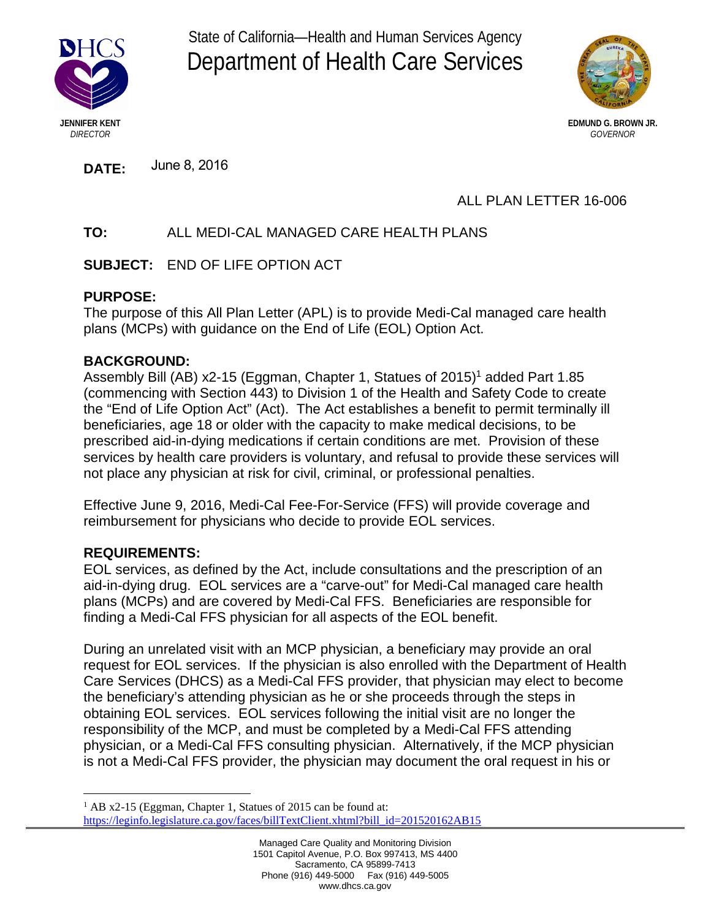

State of California—Health and Human Services Agency Department of Health Care Services



**DATE:** June 8, 2016

# ALL PLAN LETTER 16-006

# **TO:** ALL MEDI-CAL MANAGED CARE HEALTH PLANS

**SUBJECT:** END OF LIFE OPTION ACT

### **PURPOSE:**

The purpose of this All Plan Letter (APL) is to provide Medi-Cal managed care health plans (MCPs) with guidance on the End of Life (EOL) Option Act.

## **BACKGROUND:**

Assembly Bill (AB) x2-15 (Eggman, Chapter 1, Statues of 2015)<sup>1</sup> added Part 1.85 (commencing with Section 443) to Division 1 of the Health and Safety Code to create the "End of Life Option Act" (Act). The Act establishes a benefit to permit terminally ill Section 443) to Division 1 of the Health and Safety Code to create the "End of Life Option Act" (Act). beneficiaries, age 18 or older with the capacity to make medical decisions, to be prescribed aid-in-dying medications if certain conditions are met. Provision of these services by health care providers is voluntary, and refusal to provide these services will not place any physician at risk for civil, criminal, or professional penalties.

Effective June 9, 2016, Medi-Cal Fee-For-Service (FFS) will provide coverage and reimbursement for physicians who decide to provide EOL services.

### **REQUIREMENTS:**

EOL services, as defined by the Act, include consultations and the prescription of an aid-in-dying drug. EOL services are a "carve-out" for Medi-Cal managed care health plans (MCPs) and are covered by Medi-Cal FFS. Beneficiaries are responsible for finding a Medi-Cal FFS physician for all aspects of the EOL benefit.

During an unrelated visit with an MCP physician, a beneficiary may provide an oral During an unrelated visit with an MCP physician, a beneficiary may provide an oral request for EOL services. If the physician is also enrolled with the Department of Health Care Services (DHCS) as a Medi-Cal FFS provider, that physician may elect to become the beneficiary's attending physician as he or she proceeds through the steps in obtaining EOL services. EOL services following the initial visit are no longer the responsibility of the MCP, and must be completed by a Medi-Cal FFS attending resportsionity of the MCT, and must be completed by a Medi-Cal TTS attending<br>physician, or a Medi-Cal FFS consulting physician. Alternatively, if the MCP physician is not a Medi-Cal FFS provider, the physician may document the oral request in his or

 $1$  AB x2-15 (Eggman, Chapter 1, Statues of 2015 can be found at: [https://leginfo.legislature.ca.gov/faces/billTextClient.xhtml?bill\\_id=201520162AB15](https://leginfo.legislature.ca.gov/faces/billTextClient.xhtml?bill_id=201520162AB15)